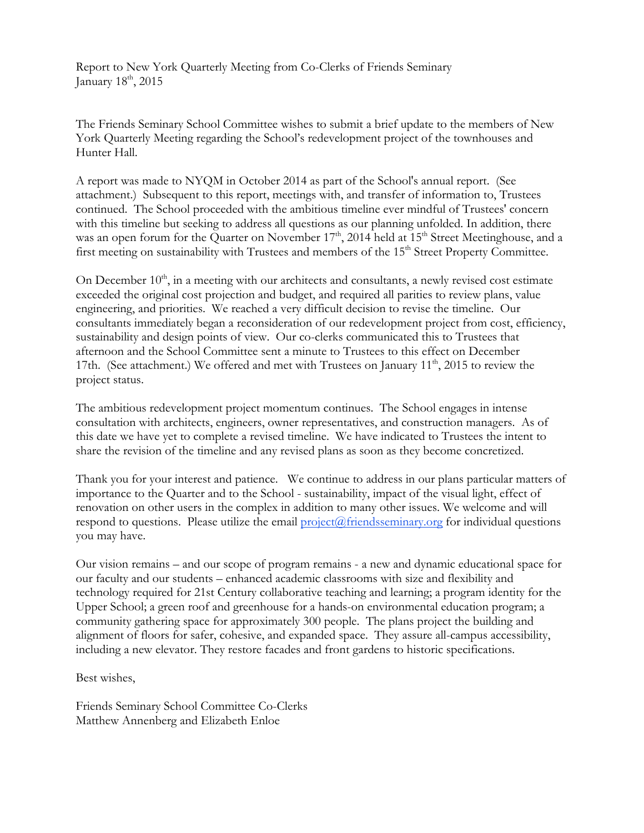Report to New York Quarterly Meeting from Co-Clerks of Friends Seminary January  $18<sup>th</sup>$ , 2015

The Friends Seminary School Committee wishes to submit a brief update to the members of New York Quarterly Meeting regarding the School's redevelopment project of the townhouses and Hunter Hall.

A report was made to NYQM in October 2014 as part of the School's annual report. (See attachment.) Subsequent to this report, meetings with, and transfer of information to, Trustees continued. The School proceeded with the ambitious timeline ever mindful of Trustees' concern with this timeline but seeking to address all questions as our planning unfolded. In addition, there was an open forum for the Quarter on November 17<sup>th</sup>, 2014 held at 15<sup>th</sup> Street Meetinghouse, and a first meeting on sustainability with Trustees and members of the 15<sup>th</sup> Street Property Committee.

On December  $10<sup>th</sup>$ , in a meeting with our architects and consultants, a newly revised cost estimate exceeded the original cost projection and budget, and required all parities to review plans, value engineering, and priorities. We reached a very difficult decision to revise the timeline. Our consultants immediately began a reconsideration of our redevelopment project from cost, efficiency, sustainability and design points of view. Our co-clerks communicated this to Trustees that afternoon and the School Committee sent a minute to Trustees to this effect on December 17th. (See attachment.) We offered and met with Trustees on January  $11<sup>th</sup>$ , 2015 to review the project status.

The ambitious redevelopment project momentum continues. The School engages in intense consultation with architects, engineers, owner representatives, and construction managers. As of this date we have yet to complete a revised timeline. We have indicated to Trustees the intent to share the revision of the timeline and any revised plans as soon as they become concretized.

Thank you for your interest and patience. We continue to address in our plans particular matters of importance to the Quarter and to the School - sustainability, impact of the visual light, effect of renovation on other users in the complex in addition to many other issues. We welcome and will respond to questions. Please utilize the email  $project@friends$  eminary.org for individual questions you may have.

Our vision remains – and our scope of program remains - a new and dynamic educational space for our faculty and our students – enhanced academic classrooms with size and flexibility and technology required for 21st Century collaborative teaching and learning; a program identity for the Upper School; a green roof and greenhouse for a hands-on environmental education program; a community gathering space for approximately 300 people. The plans project the building and alignment of floors for safer, cohesive, and expanded space. They assure all-campus accessibility, including a new elevator. They restore facades and front gardens to historic specifications.

Best wishes,

Friends Seminary School Committee Co-Clerks Matthew Annenberg and Elizabeth Enloe